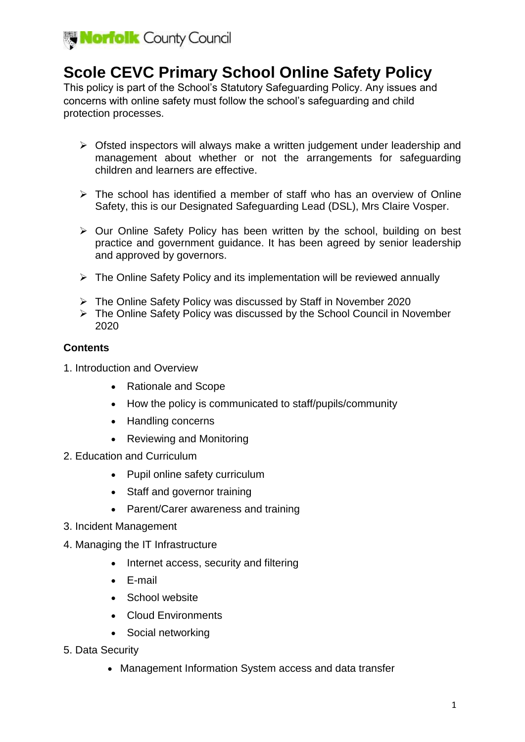

# **Scole CEVC Primary School Online Safety Policy**

This policy is part of the School's Statutory Safeguarding Policy. Any issues and concerns with online safety must follow the school's safeguarding and child protection processes.

- $\triangleright$  Ofsted inspectors will always make a written judgement under leadership and management about whether or not the arrangements for safeguarding children and learners are effective.
- $\triangleright$  The school has identified a member of staff who has an overview of Online Safety, this is our Designated Safeguarding Lead (DSL), Mrs Claire Vosper.
- $\triangleright$  Our Online Safety Policy has been written by the school, building on best practice and government guidance. It has been agreed by senior leadership and approved by governors.
- $\triangleright$  The Online Safety Policy and its implementation will be reviewed annually
- The Online Safety Policy was discussed by Staff in November 2020
- The Online Safety Policy was discussed by the School Council in November 2020

## **Contents**

- 1. Introduction and Overview
	- Rationale and Scope
	- How the policy is communicated to staff/pupils/community
	- Handling concerns
	- Reviewing and Monitoring
- 2. Education and Curriculum
	- Pupil online safety curriculum
	- Staff and governor training
	- Parent/Carer awareness and training
- 3. Incident Management
- 4. Managing the IT Infrastructure
	- Internet access, security and filtering
	- E-mail
	- School website
	- Cloud Environments
	- Social networking
- 5. Data Security
	- Management Information System access and data transfer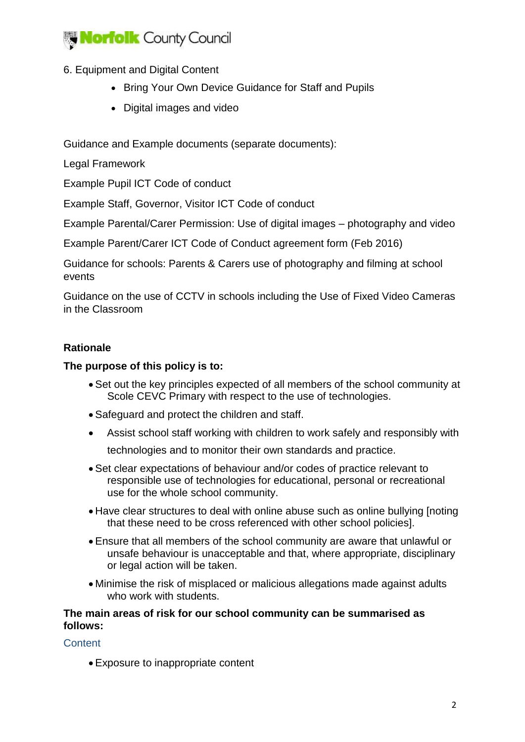

# 6. Equipment and Digital Content

- Bring Your Own Device Guidance for Staff and Pupils
- Digital images and video

Guidance and Example documents (separate documents):

Legal Framework

Example Pupil ICT Code of conduct

Example Staff, Governor, Visitor ICT Code of conduct

Example Parental/Carer Permission: Use of digital images – photography and video

Example Parent/Carer ICT Code of Conduct agreement form (Feb 2016)

Guidance for schools: Parents & Carers use of photography and filming at school events

Guidance on the use of CCTV in schools including the Use of Fixed Video Cameras in the Classroom

# **Rationale**

#### **The purpose of this policy is to:**

- Set out the key principles expected of all members of the school community at Scole CEVC Primary with respect to the use of technologies.
- Safeguard and protect the children and staff.
- Assist school staff working with children to work safely and responsibly with technologies and to monitor their own standards and practice.
- Set clear expectations of behaviour and/or codes of practice relevant to responsible use of technologies for educational, personal or recreational use for the whole school community.
- Have clear structures to deal with online abuse such as online bullying [noting that these need to be cross referenced with other school policies].
- Ensure that all members of the school community are aware that unlawful or unsafe behaviour is unacceptable and that, where appropriate, disciplinary or legal action will be taken.
- Minimise the risk of misplaced or malicious allegations made against adults who work with students.

#### **The main areas of risk for our school community can be summarised as follows:**

## **Content**

Exposure to inappropriate content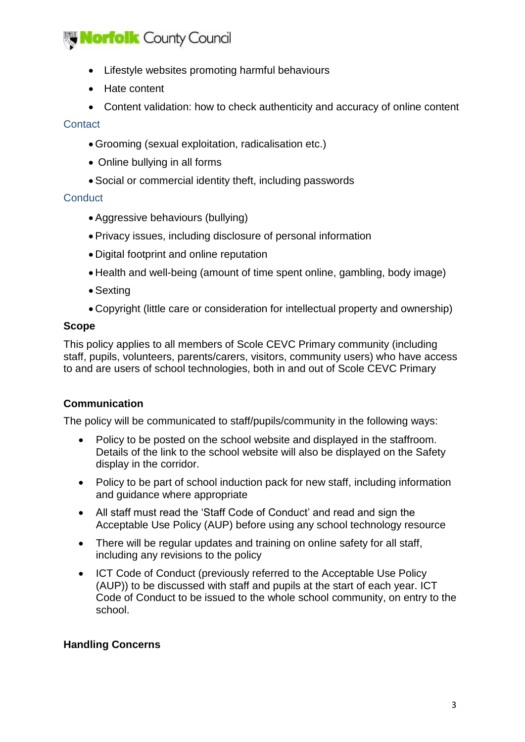# **Norfolk County Council**

- Lifestyle websites promoting harmful behaviours
- Hate content
- Content validation: how to check authenticity and accuracy of online content

#### **Contact**

- Grooming (sexual exploitation, radicalisation etc.)
- Online bullying in all forms
- Social or commercial identity theft, including passwords

## **Conduct**

- Aggressive behaviours (bullying)
- Privacy issues, including disclosure of personal information
- Digital footprint and online reputation
- Health and well-being (amount of time spent online, gambling, body image)
- Sexting
- Copyright (little care or consideration for intellectual property and ownership)

## **Scope**

This policy applies to all members of Scole CEVC Primary community (including staff, pupils, volunteers, parents/carers, visitors, community users) who have access to and are users of school technologies, both in and out of Scole CEVC Primary

# **Communication**

The policy will be communicated to staff/pupils/community in the following ways:

- Policy to be posted on the school website and displayed in the staffroom. Details of the link to the school website will also be displayed on the Safety display in the corridor.
- Policy to be part of school induction pack for new staff, including information and guidance where appropriate
- All staff must read the 'Staff Code of Conduct' and read and sign the Acceptable Use Policy (AUP) before using any school technology resource
- There will be regular updates and training on online safety for all staff, including any revisions to the policy
- ICT Code of Conduct (previously referred to the Acceptable Use Policy (AUP)) to be discussed with staff and pupils at the start of each year. ICT Code of Conduct to be issued to the whole school community, on entry to the school.

# **Handling Concerns**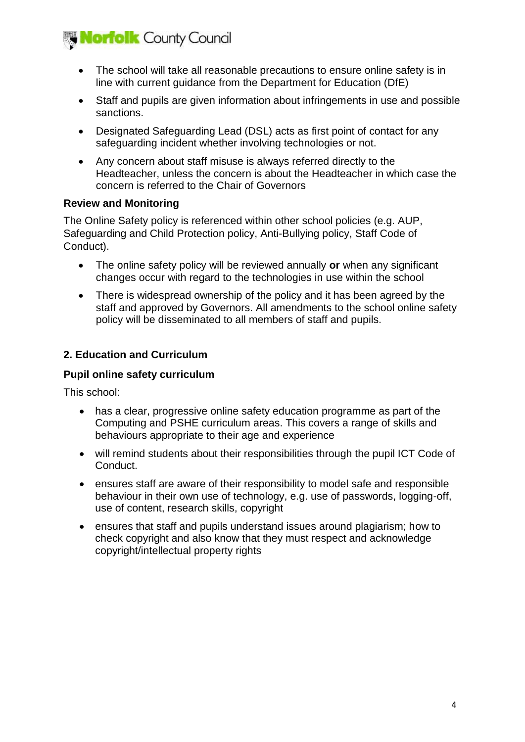

- The school will take all reasonable precautions to ensure online safety is in line with current guidance from the Department for Education (DfE)
- Staff and pupils are given information about infringements in use and possible sanctions.
- Designated Safeguarding Lead (DSL) acts as first point of contact for any safeguarding incident whether involving technologies or not.
- Any concern about staff misuse is always referred directly to the Headteacher, unless the concern is about the Headteacher in which case the concern is referred to the Chair of Governors

## **Review and Monitoring**

The Online Safety policy is referenced within other school policies (e.g. AUP, Safeguarding and Child Protection policy, Anti-Bullying policy, Staff Code of Conduct).

- The online safety policy will be reviewed annually **or** when any significant changes occur with regard to the technologies in use within the school
- There is widespread ownership of the policy and it has been agreed by the staff and approved by Governors. All amendments to the school online safety policy will be disseminated to all members of staff and pupils.

# **2. Education and Curriculum**

## **Pupil online safety curriculum**

This school:

- has a clear, progressive online safety education programme as part of the Computing and PSHE curriculum areas. This covers a range of skills and behaviours appropriate to their age and experience
- will remind students about their responsibilities through the pupil ICT Code of Conduct.
- ensures staff are aware of their responsibility to model safe and responsible behaviour in their own use of technology, e.g. use of passwords, logging-off, use of content, research skills, copyright
- ensures that staff and pupils understand issues around plagiarism; how to check copyright and also know that they must respect and acknowledge copyright/intellectual property rights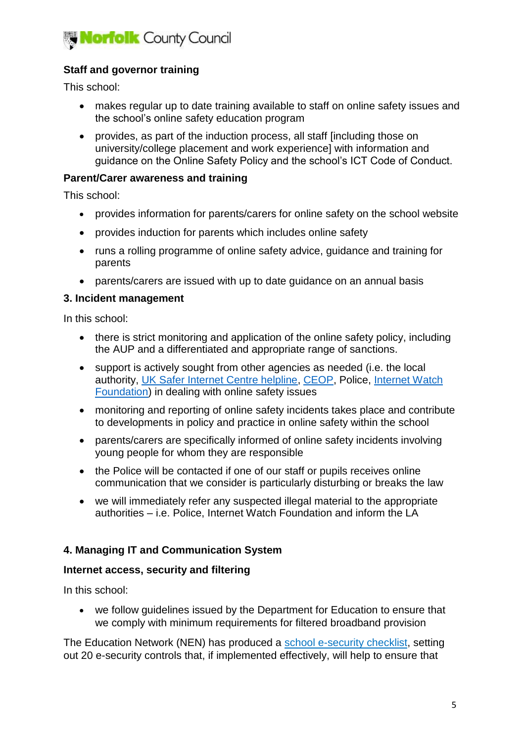

# **Staff and governor training**

This school:

- makes regular up to date training available to staff on online safety issues and the school's online safety education program
- provides, as part of the induction process, all staff [including those on university/college placement and work experience] with information and guidance on the Online Safety Policy and the school's ICT Code of Conduct.

#### **Parent/Carer awareness and training**

This school:

- provides information for parents/carers for online safety on the school website
- provides induction for parents which includes online safety
- runs a rolling programme of online safety advice, guidance and training for parents
- parents/carers are issued with up to date guidance on an annual basis

#### **3. Incident management**

In this school:

- there is strict monitoring and application of the online safety policy, including the AUP and a differentiated and appropriate range of sanctions.
- support is actively sought from other agencies as needed (i.e. the local authority, [UK Safer Internet Centre helpline,](http://www.saferinternet.org.uk/about/helpline) [CEOP,](https://www.ceop.police.uk/) Police, [Internet Watch](https://www.iwf.org.uk/)  [Foundation\)](https://www.iwf.org.uk/) in dealing with online safety issues
- monitoring and reporting of online safety incidents takes place and contribute to developments in policy and practice in online safety within the school
- parents/carers are specifically informed of online safety incidents involving young people for whom they are responsible
- the Police will be contacted if one of our staff or pupils receives online communication that we consider is particularly disturbing or breaks the law
- we will immediately refer any suspected illegal material to the appropriate authorities – i.e. Police, Internet Watch Foundation and inform the LA

## **4. Managing IT and Communication System**

## **Internet access, security and filtering**

In this school:

 we follow guidelines issued by the Department for Education to ensure that we comply with minimum requirements for filtered broadband provision

The Education Network (NEN) has produced a [school e-security checklist,](http://www.nen.gov.uk/school-e-security-checklist/) setting out 20 e-security controls that, if implemented effectively, will help to ensure that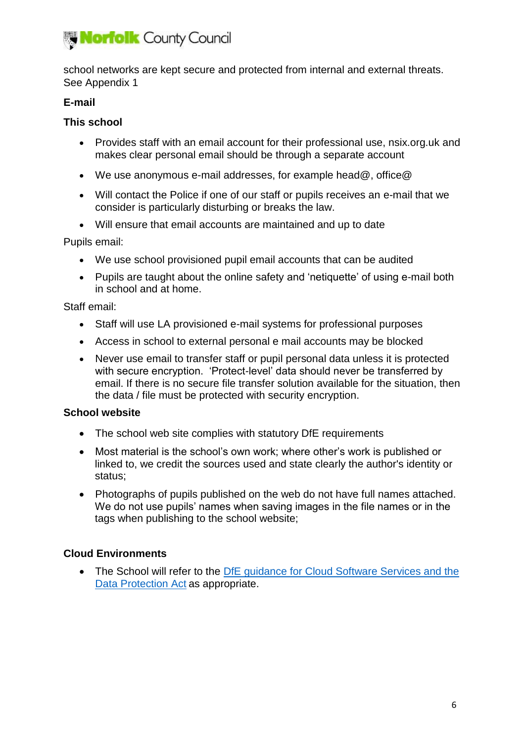

school networks are kept secure and protected from internal and external threats. See Appendix 1

# **E-mail**

# **This school**

- Provides staff with an email account for their professional use, nsix.org.uk and makes clear personal email should be through a separate account
- We use anonymous e-mail addresses, for example head@, office@
- Will contact the Police if one of our staff or pupils receives an e-mail that we consider is particularly disturbing or breaks the law.
- Will ensure that email accounts are maintained and up to date

## Pupils email:

- We use school provisioned pupil email accounts that can be audited
- Pupils are taught about the online safety and 'netiquette' of using e-mail both in school and at home.

## Staff email:

- Staff will use LA provisioned e-mail systems for professional purposes
- Access in school to external personal e mail accounts may be blocked
- Never use email to transfer staff or pupil personal data unless it is protected with secure encryption. 'Protect-level' data should never be transferred by email. If there is no secure file transfer solution available for the situation, then the data / file must be protected with security encryption.

## **School website**

- The school web site complies with statutory DfE requirements
- Most material is the school's own work; where other's work is published or linked to, we credit the sources used and state clearly the author's identity or status;
- Photographs of pupils published on the web do not have full names attached. We do not use pupils' names when saving images in the file names or in the tags when publishing to the school website;

# **Cloud Environments**

• The School will refer to the DfE guidance for Cloud Software Services and the [Data Protection Act](https://www.gov.uk/government/publications/cloud-software-services-and-the-data-protection-act) as appropriate.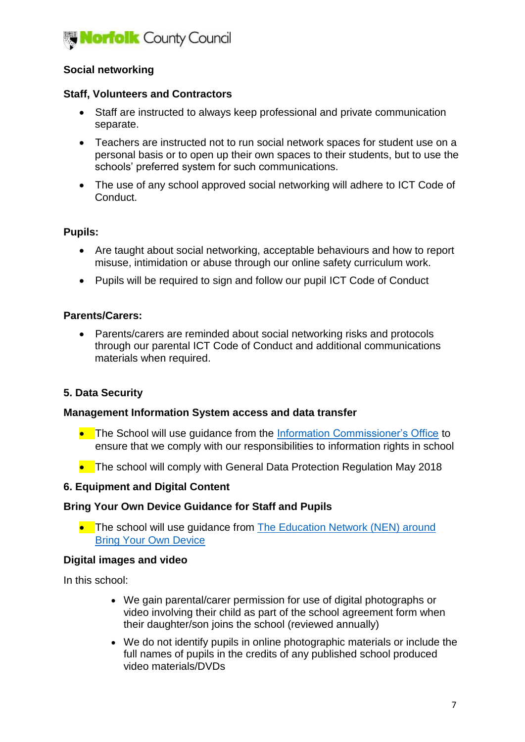

# **Social networking**

#### **Staff, Volunteers and Contractors**

- Staff are instructed to always keep professional and private communication separate.
- Teachers are instructed not to run social network spaces for student use on a personal basis or to open up their own spaces to their students, but to use the schools' preferred system for such communications.
- The use of any school approved social networking will adhere to ICT Code of Conduct.

#### **Pupils:**

- Are taught about social networking, acceptable behaviours and how to report misuse, intimidation or abuse through our online safety curriculum work.
- Pupils will be required to sign and follow our pupil ICT Code of Conduct

#### **Parents/Carers:**

 Parents/carers are reminded about social networking risks and protocols through our parental ICT Code of Conduct and additional communications materials when required.

## **5. Data Security**

#### **Management Information System access and data transfer**

- The School will use guidance from the [Information Commissioner's Office](https://ico.org.uk/for-organisations/education/) to ensure that we comply with our responsibilities to information rights in school
- The school will comply with General Data Protection Regulation May 2018

#### **6. Equipment and Digital Content**

#### **Bring Your Own Device Guidance for Staff and Pupils**

• The school will use guidance from The Education Network (NEN) around [Bring Your Own Device](http://www.nen.gov.uk/bring-your-own-device-byod/)

#### **Digital images and video**

In this school:

- We gain parental/carer permission for use of digital photographs or video involving their child as part of the school agreement form when their daughter/son joins the school (reviewed annually)
- We do not identify pupils in online photographic materials or include the full names of pupils in the credits of any published school produced video materials/DVDs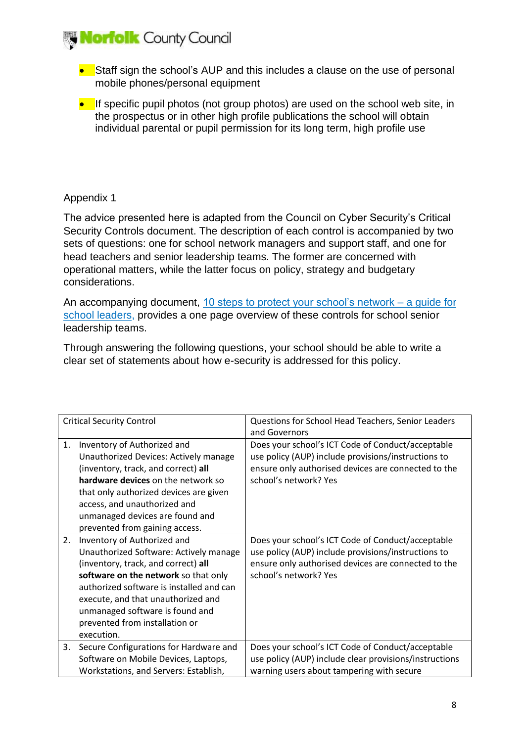

- Staff sign the school's AUP and this includes a clause on the use of personal mobile phones/personal equipment
- $\bullet$  If specific pupil photos (not group photos) are used on the school web site, in the prospectus or in other high profile publications the school will obtain individual parental or pupil permission for its long term, high profile use

## Appendix 1

The advice presented here is adapted from the Council on Cyber Security's Critical Security Controls document. The description of each control is accompanied by two sets of questions: one for school network managers and support staff, and one for head teachers and senior leadership teams. The former are concerned with operational matters, while the latter focus on policy, strategy and budgetary considerations.

An accompanying document, [10 steps to protect your school's network –](http://www.nen.gov.uk/10-steps-to-protect-your-schools-network-a-guide-for-school-leaders/) a guide for [school leaders,](http://www.nen.gov.uk/10-steps-to-protect-your-schools-network-a-guide-for-school-leaders/) provides a one page overview of these controls for school senior leadership teams.

Through answering the following questions, your school should be able to write a clear set of statements about how e-security is addressed for this policy.

| <b>Critical Security Control</b> |                                          | Questions for School Head Teachers, Senior Leaders     |
|----------------------------------|------------------------------------------|--------------------------------------------------------|
|                                  |                                          | and Governors                                          |
| 1.                               | Inventory of Authorized and              | Does your school's ICT Code of Conduct/acceptable      |
|                                  | Unauthorized Devices: Actively manage    | use policy (AUP) include provisions/instructions to    |
|                                  | (inventory, track, and correct) all      | ensure only authorised devices are connected to the    |
|                                  | hardware devices on the network so       | school's network? Yes                                  |
|                                  | that only authorized devices are given   |                                                        |
|                                  | access, and unauthorized and             |                                                        |
|                                  | unmanaged devices are found and          |                                                        |
|                                  | prevented from gaining access.           |                                                        |
| 2.                               | Inventory of Authorized and              | Does your school's ICT Code of Conduct/acceptable      |
|                                  | Unauthorized Software: Actively manage   | use policy (AUP) include provisions/instructions to    |
|                                  | (inventory, track, and correct) all      | ensure only authorised devices are connected to the    |
|                                  | software on the network so that only     | school's network? Yes                                  |
|                                  | authorized software is installed and can |                                                        |
|                                  | execute, and that unauthorized and       |                                                        |
|                                  | unmanaged software is found and          |                                                        |
|                                  | prevented from installation or           |                                                        |
|                                  | execution.                               |                                                        |
| 3.                               | Secure Configurations for Hardware and   | Does your school's ICT Code of Conduct/acceptable      |
|                                  | Software on Mobile Devices, Laptops,     | use policy (AUP) include clear provisions/instructions |
|                                  | Workstations, and Servers: Establish,    | warning users about tampering with secure              |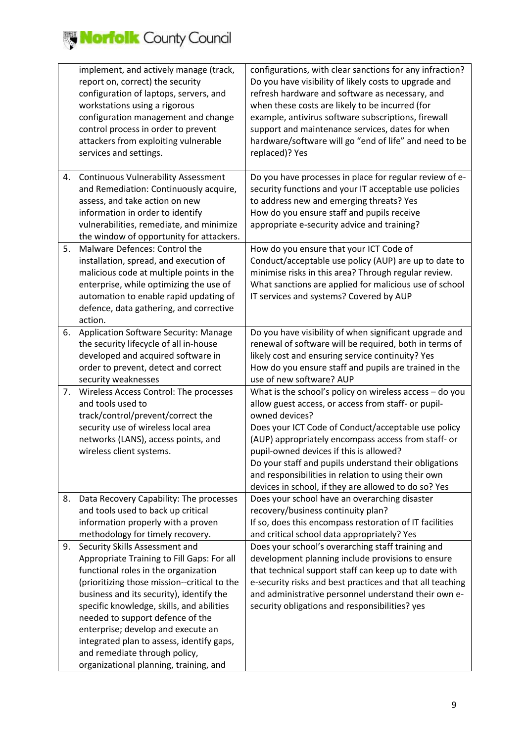

|    | implement, and actively manage (track,<br>report on, correct) the security<br>configuration of laptops, servers, and<br>workstations using a rigorous<br>configuration management and change<br>control process in order to prevent<br>attackers from exploiting vulnerable<br>services and settings.                                                                                                                                                           | configurations, with clear sanctions for any infraction?<br>Do you have visibility of likely costs to upgrade and<br>refresh hardware and software as necessary, and<br>when these costs are likely to be incurred (for<br>example, antivirus software subscriptions, firewall<br>support and maintenance services, dates for when<br>hardware/software will go "end of life" and need to be<br>replaced)? Yes                                                    |
|----|-----------------------------------------------------------------------------------------------------------------------------------------------------------------------------------------------------------------------------------------------------------------------------------------------------------------------------------------------------------------------------------------------------------------------------------------------------------------|-------------------------------------------------------------------------------------------------------------------------------------------------------------------------------------------------------------------------------------------------------------------------------------------------------------------------------------------------------------------------------------------------------------------------------------------------------------------|
| 4. | <b>Continuous Vulnerability Assessment</b><br>and Remediation: Continuously acquire,<br>assess, and take action on new<br>information in order to identify<br>vulnerabilities, remediate, and minimize<br>the window of opportunity for attackers.                                                                                                                                                                                                              | Do you have processes in place for regular review of e-<br>security functions and your IT acceptable use policies<br>to address new and emerging threats? Yes<br>How do you ensure staff and pupils receive<br>appropriate e-security advice and training?                                                                                                                                                                                                        |
| 5. | Malware Defences: Control the<br>installation, spread, and execution of<br>malicious code at multiple points in the<br>enterprise, while optimizing the use of<br>automation to enable rapid updating of<br>defence, data gathering, and corrective<br>action.                                                                                                                                                                                                  | How do you ensure that your ICT Code of<br>Conduct/acceptable use policy (AUP) are up to date to<br>minimise risks in this area? Through regular review.<br>What sanctions are applied for malicious use of school<br>IT services and systems? Covered by AUP                                                                                                                                                                                                     |
| 6. | Application Software Security: Manage<br>the security lifecycle of all in-house<br>developed and acquired software in<br>order to prevent, detect and correct<br>security weaknesses                                                                                                                                                                                                                                                                            | Do you have visibility of when significant upgrade and<br>renewal of software will be required, both in terms of<br>likely cost and ensuring service continuity? Yes<br>How do you ensure staff and pupils are trained in the<br>use of new software? AUP                                                                                                                                                                                                         |
| 7. | Wireless Access Control: The processes<br>and tools used to<br>track/control/prevent/correct the<br>security use of wireless local area<br>networks (LANS), access points, and<br>wireless client systems.                                                                                                                                                                                                                                                      | What is the school's policy on wireless access - do you<br>allow guest access, or access from staff- or pupil-<br>owned devices?<br>Does your ICT Code of Conduct/acceptable use policy<br>(AUP) appropriately encompass access from staff- or<br>pupil-owned devices if this is allowed?<br>Do your staff and pupils understand their obligations<br>and responsibilities in relation to using their own<br>devices in school, if they are allowed to do so? Yes |
| 8. | Data Recovery Capability: The processes<br>and tools used to back up critical<br>information properly with a proven<br>methodology for timely recovery.                                                                                                                                                                                                                                                                                                         | Does your school have an overarching disaster<br>recovery/business continuity plan?<br>If so, does this encompass restoration of IT facilities<br>and critical school data appropriately? Yes                                                                                                                                                                                                                                                                     |
| 9. | Security Skills Assessment and<br>Appropriate Training to Fill Gaps: For all<br>functional roles in the organization<br>(prioritizing those mission--critical to the<br>business and its security), identify the<br>specific knowledge, skills, and abilities<br>needed to support defence of the<br>enterprise; develop and execute an<br>integrated plan to assess, identify gaps,<br>and remediate through policy,<br>organizational planning, training, and | Does your school's overarching staff training and<br>development planning include provisions to ensure<br>that technical support staff can keep up to date with<br>e-security risks and best practices and that all teaching<br>and administrative personnel understand their own e-<br>security obligations and responsibilities? yes                                                                                                                            |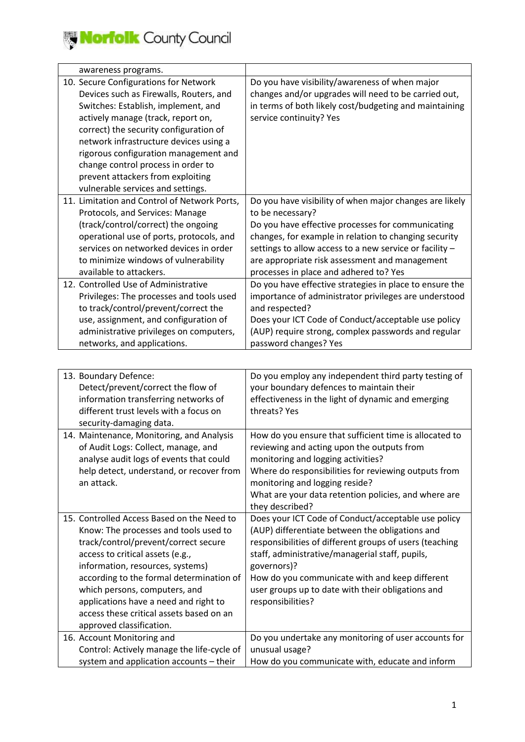| awareness programs.                          |                                                         |
|----------------------------------------------|---------------------------------------------------------|
| 10. Secure Configurations for Network        | Do you have visibility/awareness of when major          |
| Devices such as Firewalls, Routers, and      | changes and/or upgrades will need to be carried out,    |
| Switches: Establish, implement, and          | in terms of both likely cost/budgeting and maintaining  |
| actively manage (track, report on,           | service continuity? Yes                                 |
| correct) the security configuration of       |                                                         |
| network infrastructure devices using a       |                                                         |
| rigorous configuration management and        |                                                         |
| change control process in order to           |                                                         |
| prevent attackers from exploiting            |                                                         |
| vulnerable services and settings.            |                                                         |
| 11. Limitation and Control of Network Ports, | Do you have visibility of when major changes are likely |
| Protocols, and Services: Manage              | to be necessary?                                        |
| (track/control/correct) the ongoing          | Do you have effective processes for communicating       |
| operational use of ports, protocols, and     | changes, for example in relation to changing security   |
| services on networked devices in order       | settings to allow access to a new service or facility - |
| to minimize windows of vulnerability         | are appropriate risk assessment and management          |
| available to attackers.                      | processes in place and adhered to? Yes                  |
| 12. Controlled Use of Administrative         | Do you have effective strategies in place to ensure the |
| Privileges: The processes and tools used     | importance of administrator privileges are understood   |
| to track/control/prevent/correct the         | and respected?                                          |
| use, assignment, and configuration of        | Does your ICT Code of Conduct/acceptable use policy     |
| administrative privileges on computers,      | (AUP) require strong, complex passwords and regular     |
| networks, and applications.                  | password changes? Yes                                   |
|                                              |                                                         |
|                                              |                                                         |
| 13. Boundary Defence:                        | Do you employ any independent third party testing of    |
| Detect/prevent/correct the flow of           | your boundary defences to maintain their                |
| information transferring networks of         | effectiveness in the light of dynamic and emerging      |
| different trust levels with a focus on       | threats? Yes                                            |
| security-damaging data.                      |                                                         |
| 14. Maintenance, Monitoring, and Analysis    | How do you ensure that sufficient time is allocated to  |
| of Audit Logs: Collect, manage, and          | reviewing and acting upon the outputs from              |
| analyse audit logs of events that could      | monitoring and logging activities?                      |
| help detect, understand, or recover from     | Where do responsibilities for reviewing outputs from    |
| an attack.                                   | monitoring and logging reside?                          |
|                                              | What are your data retention policies, and where are    |
|                                              | they described?                                         |
| 15. Controlled Access Based on the Need to   | Does your ICT Code of Conduct/acceptable use policy     |
| Know: The processes and tools used to        | (AUP) differentiate between the obligations and         |
| track/control/prevent/correct secure         | responsibilities of different groups of users (teaching |
| access to critical assets (e.g.,             | staff, administrative/managerial staff, pupils,         |
| information, resources, systems)             | governors)?                                             |
| according to the formal determination of     | How do you communicate with and keep different          |
| which persons, computers, and                | user groups up to date with their obligations and       |
| applications have a need and right to        | responsibilities?                                       |
| access these critical assets based on an     |                                                         |
| approved classification.                     |                                                         |
| 16. Account Monitoring and                   | Do you undertake any monitoring of user accounts for    |
| Control: Actively manage the life-cycle of   | unusual usage?                                          |
| system and application accounts - their      | How do you communicate with, educate and inform         |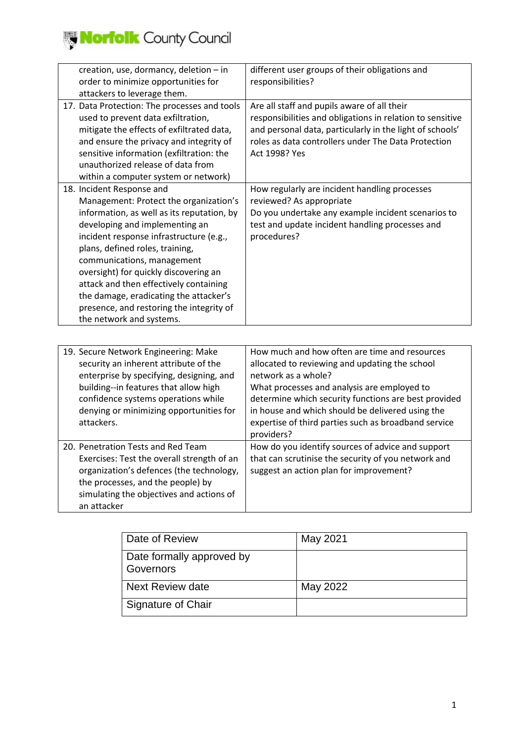

| creation, use, dormancy, deletion - in       | different user groups of their obligations and            |
|----------------------------------------------|-----------------------------------------------------------|
| order to minimize opportunities for          | responsibilities?                                         |
| attackers to leverage them.                  |                                                           |
| 17. Data Protection: The processes and tools | Are all staff and pupils aware of all their               |
| used to prevent data exfiltration,           | responsibilities and obligations in relation to sensitive |
| mitigate the effects of exfiltrated data,    | and personal data, particularly in the light of schools'  |
| and ensure the privacy and integrity of      | roles as data controllers under The Data Protection       |
| sensitive information (exfiltration: the     | Act 1998? Yes                                             |
| unauthorized release of data from            |                                                           |
| within a computer system or network)         |                                                           |
| 18. Incident Response and                    | How regularly are incident handling processes             |
| Management: Protect the organization's       | reviewed? As appropriate                                  |
| information, as well as its reputation, by   | Do you undertake any example incident scenarios to        |
| developing and implementing an               | test and update incident handling processes and           |
| incident response infrastructure (e.g.,      | procedures?                                               |
| plans, defined roles, training,              |                                                           |
| communications, management                   |                                                           |
| oversight) for quickly discovering an        |                                                           |
| attack and then effectively containing       |                                                           |
| the damage, eradicating the attacker's       |                                                           |
| presence, and restoring the integrity of     |                                                           |
| the network and systems.                     |                                                           |
|                                              |                                                           |

| 19. Secure Network Engineering: Make<br>security an inherent attribute of the<br>enterprise by specifying, designing, and<br>building--in features that allow high<br>confidence systems operations while<br>denying or minimizing opportunities for<br>attackers. | How much and how often are time and resources<br>allocated to reviewing and updating the school<br>network as a whole?<br>What processes and analysis are employed to<br>determine which security functions are best provided<br>in house and which should be delivered using the<br>expertise of third parties such as broadband service<br>providers? |
|--------------------------------------------------------------------------------------------------------------------------------------------------------------------------------------------------------------------------------------------------------------------|---------------------------------------------------------------------------------------------------------------------------------------------------------------------------------------------------------------------------------------------------------------------------------------------------------------------------------------------------------|
| 20. Penetration Tests and Red Team<br>Exercises: Test the overall strength of an<br>organization's defences (the technology,<br>the processes, and the people) by<br>simulating the objectives and actions of<br>an attacker                                       | How do you identify sources of advice and support<br>that can scrutinise the security of you network and<br>suggest an action plan for improvement?                                                                                                                                                                                                     |

| Date of Review                         | May 2021 |
|----------------------------------------|----------|
| Date formally approved by<br>Governors |          |
| Next Review date                       | May 2022 |
| Signature of Chair                     |          |